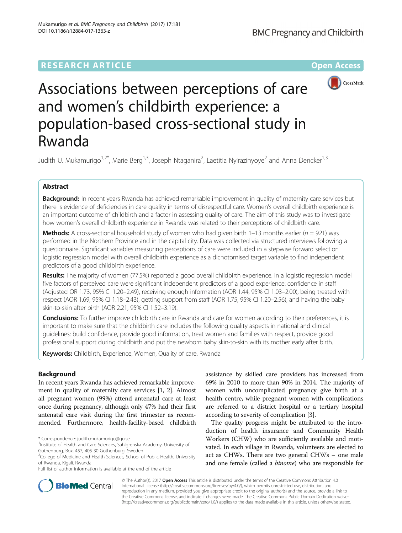# **RESEARCH ARTICLE Example 2014 12:30 The Contract of Contract ACCESS**



# Associations between perceptions of care and women's childbirth experience: a population-based cross-sectional study in Rwanda

Judith U. Mukamurigo<sup>1,2\*</sup>, Marie Berg<sup>1,3</sup>, Joseph Ntaganira<sup>2</sup>, Laetitia Nyirazinyoye<sup>2</sup> and Anna Dencker<sup>1,3</sup>

# Abstract

Background: In recent years Rwanda has achieved remarkable improvement in quality of maternity care services but there is evidence of deficiencies in care quality in terms of disrespectful care. Women's overall childbirth experience is an important outcome of childbirth and a factor in assessing quality of care. The aim of this study was to investigate how women's overall childbirth experience in Rwanda was related to their perceptions of childbirth care.

**Methods:** A cross-sectional household study of women who had given birth 1–13 months earlier ( $n = 921$ ) was performed in the Northern Province and in the capital city. Data was collected via structured interviews following a questionnaire. Significant variables measuring perceptions of care were included in a stepwise forward selection logistic regression model with overall childbirth experience as a dichotomised target variable to find independent predictors of a good childbirth experience.

Results: The majority of women (77.5%) reported a good overall childbirth experience. In a logistic regression model five factors of perceived care were significant independent predictors of a good experience: confidence in staff (Adjusted OR 1.73, 95% CI 1.20–2.49), receiving enough information (AOR 1.44, 95% CI 1.03–2.00), being treated with respect (AOR 1.69, 95% CI 1.18–2.43), getting support from staff (AOR 1.75, 95% CI 1.20–2.56), and having the baby skin-to-skin after birth (AOR 2.21, 95% CI 1.52–3.19).

Conclusions: To further improve childbirth care in Rwanda and care for women according to their preferences, it is important to make sure that the childbirth care includes the following quality aspects in national and clinical guidelines: build confidence, provide good information, treat women and families with respect, provide good professional support during childbirth and put the newborn baby skin-to-skin with its mother early after birth.

Keywords: Childbirth, Experience, Women, Quality of care, Rwanda

# Background

In recent years Rwanda has achieved remarkable improvement in quality of maternity care services [[1](#page-6-0), [2](#page-6-0)]. Almost all pregnant women (99%) attend antenatal care at least once during pregnancy, although only 47% had their first antenatal care visit during the first trimester as recommended. Furthermore, health-facility-based childbirth

Full list of author information is available at the end of the article

assistance by skilled care providers has increased from 69% in 2010 to more than 90% in 2014. The majority of women with uncomplicated pregnancy give birth at a health centre, while pregnant women with complications are referred to a district hospital or a tertiary hospital according to severity of complication [\[3](#page-6-0)].

The quality progress might be attributed to the introduction of health insurance and Community Health Workers (CHW) who are sufficiently available and motivated. In each village in Rwanda, volunteers are elected to act as CHWs. There are two general CHWs – one male and one female (called a binome) who are responsible for



© The Author(s). 2017 **Open Access** This article is distributed under the terms of the Creative Commons Attribution 4.0 International License [\(http://creativecommons.org/licenses/by/4.0/](http://creativecommons.org/licenses/by/4.0/)), which permits unrestricted use, distribution, and reproduction in any medium, provided you give appropriate credit to the original author(s) and the source, provide a link to the Creative Commons license, and indicate if changes were made. The Creative Commons Public Domain Dedication waiver [\(http://creativecommons.org/publicdomain/zero/1.0/](http://creativecommons.org/publicdomain/zero/1.0/)) applies to the data made available in this article, unless otherwise stated.

<sup>\*</sup> Correspondence: [judith.mukamurigo@gu.se](mailto:judith.mukamurigo@gu.se) <sup>1</sup>

<sup>&</sup>lt;sup>1</sup>Institute of Health and Care Sciences, Sahlgrenska Academy, University of Gothenburg, Box, 457, 405 30 Gothenburg, Sweden

<sup>&</sup>lt;sup>2</sup>College of Medicine and Health Sciences, School of Public Health, University of Rwanda, Kigali, Rwanda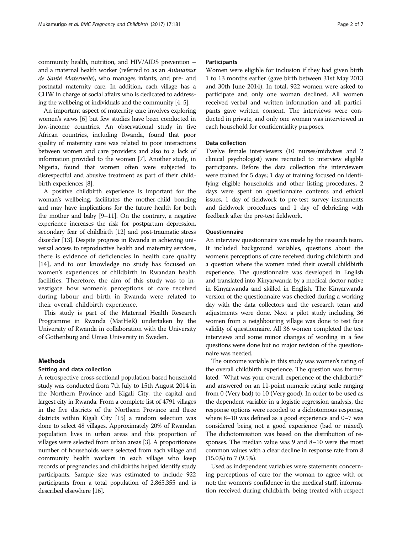community health, nutrition, and HIV/AIDS prevention – and a maternal health worker (referred to as an Animateur de Santé Maternelle), who manages infants, and pre- and postnatal maternity care. In addition, each village has a CHW in charge of social affairs who is dedicated to addressing the wellbeing of individuals and the community [\[4, 5](#page-6-0)].

An important aspect of maternity care involves exploring women's views [\[6\]](#page-6-0) but few studies have been conducted in low-income countries. An observational study in five African countries, including Rwanda, found that poor quality of maternity care was related to poor interactions between women and care providers and also to a lack of information provided to the women [\[7\]](#page-6-0). Another study, in Nigeria, found that women often were subjected to disrespectful and abusive treatment as part of their childbirth experiences [\[8\]](#page-6-0).

A positive childbirth experience is important for the woman's wellbeing, facilitates the mother-child bonding and may have implications for the future health for both the mother and baby [\[9](#page-6-0)–[11](#page-6-0)]. On the contrary, a negative experience increases the risk for postpartum depression, secondary fear of childbirth [[12](#page-6-0)] and post-traumatic stress disorder [[13](#page-6-0)]. Despite progress in Rwanda in achieving universal access to reproductive health and maternity services, there is evidence of deficiencies in health care quality [[14\]](#page-6-0), and to our knowledge no study has focused on women's experiences of childbirth in Rwandan health facilities. Therefore, the aim of this study was to investigate how women's perceptions of care received during labour and birth in Rwanda were related to their overall childbirth experience.

This study is part of the Maternal Health Research Programme in Rwanda (MatHeR) undertaken by the University of Rwanda in collaboration with the University of Gothenburg and Umea University in Sweden.

# Methods

#### Setting and data collection

A retrospective cross-sectional population-based household study was conducted from 7th July to 15th August 2014 in the Northern Province and Kigali City, the capital and largest city in Rwanda. From a complete list of 4791 villages in the five districts of the Northern Province and three districts within Kigali City [[15](#page-6-0)] a random selection was done to select 48 villages. Approximately 20% of Rwandan population lives in urban areas and this proportion of villages were selected from urban areas [[3\]](#page-6-0). A proportionate number of households were selected from each village and community health workers in each village who keep records of pregnancies and childbirths helped identify study participants. Sample size was estimated to include 922 participants from a total population of 2,865,355 and is described elsewhere [\[16](#page-6-0)].

### **Participants**

Women were eligible for inclusion if they had given birth 1 to 13 months earlier (gave birth between 31st May 2013 and 30th June 2014). In total, 922 women were asked to participate and only one woman declined. All women received verbal and written information and all participants gave written consent. The interviews were conducted in private, and only one woman was interviewed in each household for confidentiality purposes.

## Data collection

Twelve female interviewers (10 nurses/midwives and 2 clinical psychologist) were recruited to interview eligible participants. Before the data collection the interviewers were trained for 5 days; 1 day of training focused on identifying eligible households and other listing procedures, 2 days were spent on questionnaire contents and ethical issues, 1 day of fieldwork to pre-test survey instruments and fieldwork procedures and 1 day of debriefing with feedback after the pre-test fieldwork.

#### **Ouestionnaire**

An interview questionnaire was made by the research team. It included background variables, questions about the women's perceptions of care received during childbirth and a question where the women rated their overall childbirth experience. The questionnaire was developed in English and translated into Kinyarwanda by a medical doctor native in Kinyarwanda and skilled in English. The Kinyarwanda version of the questionnaire was checked during a working day with the data collectors and the research team and adjustments were done. Next a pilot study including 36 women from a neighbouring village was done to test face validity of questionnaire. All 36 women completed the test interviews and some minor changes of wording in a few questions were done but no major revision of the questionnaire was needed.

The outcome variable in this study was women's rating of the overall childbirth experience. The question was formulated: "What was your overall experience of the childbirth?" and answered on an 11-point numeric rating scale ranging from 0 (Very bad) to 10 (Very good). In order to be used as the dependent variable in a logistic regression analysis, the response options were recoded to a dichotomous response, where 8–10 was defined as a good experience and 0–7 was considered being not a good experience (bad or mixed). The dichotomisation was based on the distribution of responses. The median value was 9 and 8–10 were the most common values with a clear decline in response rate from 8 (15.0%) to 7 (9.5%).

Used as independent variables were statements concerning perceptions of care for the woman to agree with or not; the women's confidence in the medical staff, information received during childbirth, being treated with respect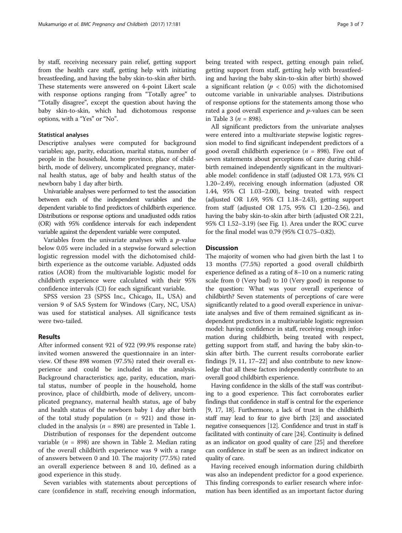by staff, receiving necessary pain relief, getting support from the health care staff, getting help with initiating breastfeeding, and having the baby skin-to-skin after birth. These statements were answered on 4-point Likert scale with response options ranging from "Totally agree" to "Totally disagree", except the question about having the baby skin-to-skin, which had dichotomous response options, with a "Yes" or "No".

## Statistical analyses

Descriptive analyses were computed for background variables; age, parity, education, marital status, number of people in the household, home province, place of childbirth, mode of delivery, uncomplicated pregnancy, maternal health status, age of baby and health status of the newborn baby 1 day after birth.

Univariable analyses were performed to test the association between each of the independent variables and the dependent variable to find predictors of childbirth experience. Distributions or response options and unadjusted odds ratios (OR) with 95% confidence intervals for each independent variable against the dependent variable were computed.

Variables from the univariate analyses with a  $p$ -value below 0.05 were included in a stepwise forward selection logistic regression model with the dichotomised childbirth experience as the outcome variable. Adjusted odds ratios (AOR) from the multivariable logistic model for childbirth experience were calculated with their 95% confidence intervals (CI) for each significant variable.

SPSS version 23 (SPSS Inc., Chicago, IL, USA) and version 9 of SAS System for Windows (Cary, NC, USA) was used for statistical analyses. All significance tests were two-tailed.

#### Results

After informed consent 921 of 922 (99.9% response rate) invited women answered the questionnaire in an interview. Of these 898 women (97.5%) rated their overall experience and could be included in the analysis. Background characteristics; age, parity, education, marital status, number of people in the household, home province, place of childbirth, mode of delivery, uncomplicated pregnancy, maternal health status, age of baby and health status of the newborn baby 1 day after birth of the total study population ( $n = 921$ ) and those included in the analysis ( $n = 898$ ) are presented in Table [1](#page-3-0).

Distribution of responses for the dependent outcome variable ( $n = 898$ ) are shown in Table [2.](#page-3-0) Median rating of the overall childbirth experience was 9 with a range of answers between 0 and 10. The majority (77.5%) rated an overall experience between 8 and 10, defined as a good experience in this study.

Seven variables with statements about perceptions of care (confidence in staff, receiving enough information,

being treated with respect, getting enough pain relief, getting support from staff, getting help with breastfeeding and having the baby skin-to-skin after birth) showed a significant relation ( $p < 0.05$ ) with the dichotomised outcome variable in univariable analyses. Distributions of response options for the statements among those who rated a good overall experience and  $p$ -values can be seen in Table [3](#page-4-0) ( $n = 898$ ).

All significant predictors from the univariate analyses were entered into a multivariate stepwise logistic regression model to find significant independent predictors of a good overall childbirth experience ( $n = 898$ ). Five out of seven statements about perceptions of care during childbirth remained independently significant in the multivariable model: confidence in staff (adjusted OR 1.73, 95% CI 1.20–2.49), receiving enough information (adjusted OR 1.44, 95% CI 1.03–2.00), being treated with respect (adjusted OR 1.69, 95% CI 1.18–2.43), getting support from staff (adjusted OR 1.75, 95% CI 1.20–2.56), and having the baby skin-to-skin after birth (adjusted OR 2.21, 95% CI 1.52–3.19) (see Fig. [1\)](#page-5-0). Area under the ROC curve for the final model was 0.79 (95% CI 0.75–0.82).

## Discussion

The majority of women who had given birth the last 1 to 13 months (77.5%) reported a good overall childbirth experience defined as a rating of 8–10 on a numeric rating scale from 0 (Very bad) to 10 (Very good) in response to the question: What was your overall experience of childbirth? Seven statements of perceptions of care were significantly related to a good overall experience in univariate analyses and five of them remained significant as independent predictors in a multivariable logistic regression model: having confidence in staff, receiving enough information during childbirth, being treated with respect, getting support from staff, and having the baby skin-toskin after birth. The current results corroborate earlier findings [\[9, 11, 17](#page-6-0)–[22](#page-6-0)] and also contribute to new knowledge that all these factors independently contribute to an overall good childbirth experience.

Having confidence in the skills of the staff was contributing to a good experience. This fact corroborates earlier findings that confidence in staff is central for the experience [[9](#page-6-0), [17](#page-6-0), [18\]](#page-6-0). Furthermore, a lack of trust in the childbirth staff may lead to fear to give birth [[23](#page-6-0)] and associated negative consequences [\[12\]](#page-6-0). Confidence and trust in staff is facilitated with continuity of care [\[24\]](#page-6-0). Continuity is defined as an indicator on good quality of care [[25](#page-6-0)] and therefore can confidence in staff be seen as an indirect indicator on quality of care.

Having received enough information during childbirth was also an independent predictor for a good experience. This finding corresponds to earlier research where information has been identified as an important factor during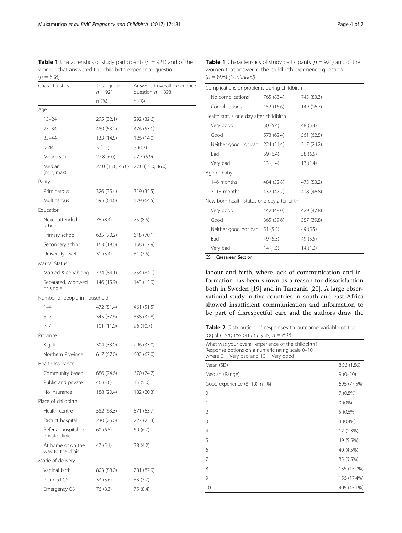<span id="page-3-0"></span>**Table 1** Characteristics of study participants ( $n = 921$ ) and of the women that answered the childbirth experience question  $(n = 898)$ 

| Characteristics                        | Total group<br>$n = 921$ | Answered overall experience<br>question $n = 898$<br>n (%) |  |  |  |
|----------------------------------------|--------------------------|------------------------------------------------------------|--|--|--|
|                                        | n (%)                    |                                                            |  |  |  |
| Age                                    |                          |                                                            |  |  |  |
| $15 - 24$                              | 295 (32.1)               | 292 (32.6)                                                 |  |  |  |
| $25 - 34$                              | 489 (53.2)               | 476 (53.1)                                                 |  |  |  |
| $35 - 44$                              | 133 (14.5)               | 126 (14.0)                                                 |  |  |  |
| >44                                    | 3(0.3)                   | 3(0.3)                                                     |  |  |  |
| Mean (SD)                              | 27.8 (6.0)               | 27.7 (5.9)                                                 |  |  |  |
| Median<br>(min; max)                   | 27.0 (15.0; 46.0)        | 27.0 (15.0; 46.0)                                          |  |  |  |
| Parity                                 |                          |                                                            |  |  |  |
| Primiparous                            | 326 (35.4)               | 319 (35.5)                                                 |  |  |  |
| Multiparous                            | 595 (64.6)               | 579 (64.5)                                                 |  |  |  |
| Fducation                              |                          |                                                            |  |  |  |
| Never attended<br>school               | 76 (8.4)                 | 75 (8.5)                                                   |  |  |  |
| Primary school                         | 635 (70.2)               | 618 (70.1)                                                 |  |  |  |
| Secondary school                       | 163 (18.0)               | 158 (17.9)                                                 |  |  |  |
| University level                       | 31(3.4)                  | 31(3.5)                                                    |  |  |  |
| Marital Status                         |                          |                                                            |  |  |  |
| Married & cohabiting                   | 774 (84.1)               | 754 (84.1)                                                 |  |  |  |
| Separated, widowed<br>or single        | 146 (15.9)               | 143 (15.9)                                                 |  |  |  |
| Number of people in household          |                          |                                                            |  |  |  |
| $1 - 4$                                | 472 (51.4)               | 461 (51.5)                                                 |  |  |  |
| $5 - 7$                                | 345 (37.6)               | 338 (37.8)                                                 |  |  |  |
| >7                                     | 101 (11.0)               | 96 (10.7)                                                  |  |  |  |
| Province                               |                          |                                                            |  |  |  |
| Kigali                                 | 304 (33.0)               | 296 (33.0)                                                 |  |  |  |
| Northern Province                      | 617 (67.0)               | 602 (67.0)                                                 |  |  |  |
| Health Insurance                       |                          |                                                            |  |  |  |
| Community based                        | 686 (74.6)               | 670 (74.7)                                                 |  |  |  |
| Public and private                     | 46 (5.0)                 | 45 (5.0)                                                   |  |  |  |
| No insurance                           | 188 (20.4)               | 182 (20.3)                                                 |  |  |  |
| Place of childbirth                    |                          |                                                            |  |  |  |
| Health centre                          | 582 (63.3)               | 571 (63.7)                                                 |  |  |  |
| District hospital                      | 230 (25.0)               | 227 (25.3)                                                 |  |  |  |
| Referral hospital or<br>Private clinic | 60 (6.5)                 | 60(6.7)                                                    |  |  |  |
| At home or on the<br>way to the clinic | 47 (5.1)                 | 38 (4.2)                                                   |  |  |  |
| Mode of delivery                       |                          |                                                            |  |  |  |
| Vaginal birth                          | 803 (88.0)               | 781 (87.9)                                                 |  |  |  |
| Planned CS                             | 33 (3.6)                 | 33 (3.7)                                                   |  |  |  |
| Emergency CS                           | 76 (8.3)                 | 75 (8.4)                                                   |  |  |  |

**Table 1** Characteristics of study participants ( $n = 921$ ) and of the women that answered the childbirth experience question  $(n = 898)$  (Continued)

| Complications or problems during childbirth |                          |            |  |  |  |
|---------------------------------------------|--------------------------|------------|--|--|--|
| No complications                            | 765 (83.4)               | 745 (83.3) |  |  |  |
| Complications 152 (16.6)                    |                          | 149 (16.7) |  |  |  |
| Health status one day after childbirth      |                          |            |  |  |  |
| Very good                                   | 50 (5.4)                 | 48 (5.4)   |  |  |  |
| Good                                        | 573 (62.4)               | 561 (62.5) |  |  |  |
| Neither good nor bad 224 (24.4)             |                          | 217 (24.2) |  |  |  |
| Bad                                         | 59 (6.4)                 | 58 (6.5)   |  |  |  |
| Very bad                                    | 13 (1.4)                 | 13(1.4)    |  |  |  |
| Age of baby                                 |                          |            |  |  |  |
| $1-6$ months                                | 484 (52.8)               | 475 (53.2) |  |  |  |
| 7-13 months                                 | 432 (47.2)<br>418 (46.8) |            |  |  |  |
| New-born health status one day after birth  |                          |            |  |  |  |
| Very good                                   | 442 (48.0)               | 429 (47.8) |  |  |  |
| Good                                        | 365 (39.6)               | 357 (39.8) |  |  |  |
| Neither good nor bad 51 (5.5)               |                          | 49 (5.5)   |  |  |  |
| Bad                                         | 49 (5.3)                 | 49 (5.5)   |  |  |  |
| Very bad                                    | 14 (1.5)                 | 14(1.6)    |  |  |  |

CS = Caesarean Section

labour and birth, where lack of communication and information has been shown as a reason for dissatisfaction both in Sweden [[19\]](#page-6-0) and in Tanzania [\[20](#page-6-0)]. A large observational study in five countries in south and east Africa showed insufficient communication and information to be part of disrespectful care and the authors draw the

Table 2 Distribution of responses to outcome variable of the logistic regression analysis,  $n = 898$ 

| What was your overall experience of the childbirth?<br>Response options on a numeric rating scale 0-10,<br>where $0 = \text{Very bad}$ and $10 = \text{Very good}$ |             |  |  |  |
|--------------------------------------------------------------------------------------------------------------------------------------------------------------------|-------------|--|--|--|
| Mean (SD)                                                                                                                                                          | 8.56 (1.86) |  |  |  |
| Median (Range)                                                                                                                                                     | $9(0-10)$   |  |  |  |
| Good experience (8–10), n (%)                                                                                                                                      | 696 (77.5%) |  |  |  |
| 0                                                                                                                                                                  | 7(0.8%)     |  |  |  |
| 1                                                                                                                                                                  | $0(0\%)$    |  |  |  |
| 2                                                                                                                                                                  | $5(0.6\%)$  |  |  |  |
| 3                                                                                                                                                                  | 4(0.4%)     |  |  |  |
| 4                                                                                                                                                                  | 12 (1.3%)   |  |  |  |
| 5                                                                                                                                                                  | 49 (5.5%)   |  |  |  |
| 6                                                                                                                                                                  | 40 (4.5%)   |  |  |  |
| 7                                                                                                                                                                  | 85 (9.5%)   |  |  |  |
| 8                                                                                                                                                                  | 135 (15.0%) |  |  |  |
| 9                                                                                                                                                                  | 156 (17.4%) |  |  |  |
| 10                                                                                                                                                                 | 405 (45.1%) |  |  |  |
|                                                                                                                                                                    |             |  |  |  |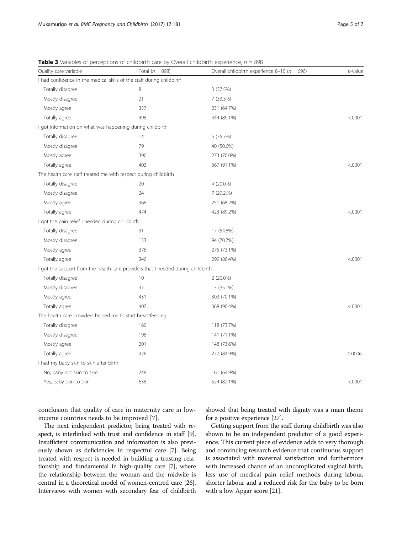| Quality care variable                                                            | Total ( $n = 898$ ) | Overall childbirth experience 8-10 ( $n = 696$ ) | $p$ -value |
|----------------------------------------------------------------------------------|---------------------|--------------------------------------------------|------------|
| I had confidence in the medical skills of the staff during childbirth            |                     |                                                  |            |
| Totally disagree                                                                 | 8                   | 3 (37.5%)                                        |            |
| Mostly disagree                                                                  | 21                  | 7 (33.3%)                                        |            |
| Mostly agree                                                                     | 357                 | 231 (64.7%)                                      |            |
| Totally agree                                                                    | 498                 | 444 (89.1%)                                      | < .0001    |
| I got information on what was happening during childbirth                        |                     |                                                  |            |
| Totally disagree                                                                 | 14                  | 5 (35.7%)                                        |            |
| Mostly disagree                                                                  | 79                  | 40 (50.6%)                                       |            |
| Mostly agree                                                                     | 390                 | 273 (70.0%)                                      |            |
| Totally agree                                                                    | 403                 | 367 (91.1%)                                      | < .0001    |
| The health care staff treated me with respect during childbirth                  |                     |                                                  |            |
| Totally disagree                                                                 | 20                  | 4 (20.0%)                                        |            |
| Mostly disagree                                                                  | 24                  | 7 (29.2.%)                                       |            |
| Mostly agree                                                                     | 368                 | 251 (68.2%)                                      |            |
| Totally agree                                                                    | 474                 | 423 (89.2%)                                      | < .0001    |
| I got the pain relief I needed during childbirth                                 |                     |                                                  |            |
| Totally disagree                                                                 | 31                  | 17 (54.8%)                                       |            |
| Mostly disagree                                                                  | 133                 | 94 (70.7%)                                       |            |
| Mostly agree                                                                     | 376                 | 275 (73.1%)                                      |            |
| Totally agree                                                                    | 346                 | 299 (86.4%)                                      | < .0001    |
| I got the support from the health care providers that I needed during childbirth |                     |                                                  |            |
| Totally disagree                                                                 | 10                  | 2 (20.0%)                                        |            |
| Mostly disagree                                                                  | 37                  | 13 (35.1%)                                       |            |
| Mostly agree                                                                     | 431                 | 302 (70.1%)                                      |            |
| Totally agree                                                                    | 407                 | 368 (90.4%)                                      | < .0001    |
| The health care providers helped me to start breastfeeding                       |                     |                                                  |            |
| Totally disagree                                                                 | 160                 | 118 (73.7%)                                      |            |
| Mostly disagree                                                                  | 198                 | 141 (71.1%)                                      |            |
| Mostly agree                                                                     | 201                 | 148 (73.6%)                                      |            |
| Totally agree                                                                    | 326                 | 277 (84.9%)                                      | 0.0006     |
| I had my baby skin to skin after birth                                           |                     |                                                  |            |
| No, baby not skin to skin                                                        | 248                 | 161 (64.9%)                                      |            |
| Yes, baby skin to skin                                                           | 638                 | 524 (82.1%)                                      | < .0001    |

<span id="page-4-0"></span>**Table 3** Variables of perceptions of childbirth care by Overall childbirth experience,  $n = 898$ 

conclusion that quality of care in maternity care in lowincome countries needs to be improved [\[7](#page-6-0)].

The next independent predictor, being treated with respect, is interlinked with trust and confidence in staff [[9](#page-6-0)]. Insufficient communication and information is also previously shown as deficiencies in respectful care [[7\]](#page-6-0). Being treated with respect is needed in building a trusting relationship and fundamental in high-quality care [[7](#page-6-0)], where the relationship between the woman and the midwife is central in a theoretical model of women-centred care [\[26](#page-6-0)]. Interviews with women with secondary fear of childbirth

showed that being treated with dignity was a main theme for a positive experience [\[27\]](#page-6-0).

Getting support from the staff during childbirth was also shown to be an independent predictor of a good experience. This current piece of evidence adds to very thorough and convincing research evidence that continuous support is associated with maternal satisfaction and furthermore with increased chance of an uncomplicated vaginal birth, less use of medical pain relief methods during labour, shorter labour and a reduced risk for the baby to be born with a low Apgar score [[21](#page-6-0)].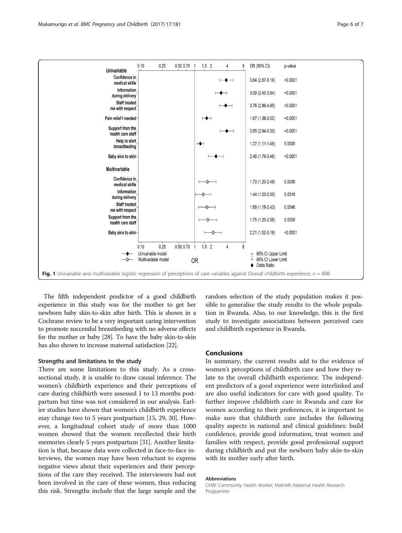<span id="page-5-0"></span>

| Univariable                                                                                                                                | 0.10<br>0.25                                             | 0.50 0.70 1 | $1.5$ 2       | 4                        | 8 | OR (95% CI)                                              | p-value  |
|--------------------------------------------------------------------------------------------------------------------------------------------|----------------------------------------------------------|-------------|---------------|--------------------------|---|----------------------------------------------------------|----------|
| Confidence in<br>medical skills                                                                                                            |                                                          |             |               | ≁<br>⊣                   |   | 3.84 (2.87-5.16)                                         | < 0.0001 |
| Information<br>during delivery                                                                                                             |                                                          |             |               | $\mapsto$                |   | 3.09 (2.43-3.94)                                         | < 0.0001 |
| <b>Staff treated</b><br>me with respect                                                                                                    |                                                          |             |               | $\overline{\phantom{a}}$ |   | 3.76 (2.86-4.95)                                         | < 0.0001 |
| Pain relief I needed-                                                                                                                      |                                                          |             | $\mapsto$     |                          |   | 1.67 (1.38-2.02)                                         | < 0.0001 |
| Support from the<br>health care staff                                                                                                      |                                                          |             |               | $\overline{\phantom{a}}$ |   | 3.95 (2.94-5.30)                                         | < 0.0001 |
| Help to start<br>breastfeeding                                                                                                             |                                                          |             | ⊬             |                          |   | 1.27 (1.11-1.46)                                         | 0.0006   |
| Baby skin to skin-                                                                                                                         |                                                          |             |               |                          |   | 2.48 (1.79-3.46)                                         | < 0.0001 |
| <b>Multivariable</b>                                                                                                                       |                                                          |             |               |                          |   |                                                          |          |
| Confidence in<br>medical skills                                                                                                            |                                                          |             | ᡐ             |                          |   | 1.73 (1.20-2.49)                                         | 0.0036   |
| Information<br>during delivery                                                                                                             |                                                          |             |               |                          |   | 1.44 (1.03-2.00)                                         | 0.0319   |
| <b>Staff treated</b><br>me with respect                                                                                                    |                                                          |             |               |                          |   | 1.69 (1.18-2.43)                                         | 0.0046   |
| Support from the<br>health care staff                                                                                                      |                                                          |             |               |                          |   | 1.75 (1.20-2.56)                                         | 0.0038   |
| Baby skin to skin-                                                                                                                         |                                                          |             |               |                          |   | 2.21 (1.52-3.19)                                         | < 0.0001 |
|                                                                                                                                            | 0.25<br>0.10<br>Univariable model<br>Multivariable model | 0.50 0.70 1 | $1.5$ 2<br>0R | 4                        | 8 | 95% CI Upper Limit<br>95% CI Lower Limit<br>♦ Odds Ratio |          |
| Fig. 1 Univariable and multivariable logistic regression of perceptions of care variables against Overall childbirth experience, $n = 898$ |                                                          |             |               |                          |   |                                                          |          |

The fifth independent predictor of a good childbirth experience in this study was for the mother to get her newborn baby skin-to-skin after birth. This is shown in a Cochrane review to be a very important caring intervention to promote successful breastfeeding with no adverse effects for the mother or baby [\[28\]](#page-6-0). To have the baby skin-to-skin has also shown to increase maternal satisfaction [\[22\]](#page-6-0).

#### Strengths and limitations to the study

There are some limitations to this study. As a crosssectional study, it is unable to draw causal inference. The women's childbirth experience and their perceptions of care during childbirth were assessed 1 to 13 months postpartum but time was not considered in our analysis. Earlier studies have shown that women's childbirth experience may change two to 5 years postpartum [\[15](#page-6-0), [29, 30](#page-6-0)]. However, a longitudinal cohort study of more than 1000 women showed that the women recollected their birth memories clearly 5 years postpartum [\[31\]](#page-6-0). Another limitation is that, because data were collected in face-to-face interviews, the women may have been reluctant to express negative views about their experiences and their perceptions of the care they received. The interviewers had not been involved in the care of these women, thus reducing this risk. Strengths include that the large sample and the random selection of the study population makes it possible to generalise the study results to the whole population in Rwanda. Also, to our knowledge, this is the first study to investigate associations between perceived care and childbirth experience in Rwanda.

## Conclusions

In summary, the current results add to the evidence of women's perceptions of childbirth care and how they relate to the overall childbirth experience. The independent predictors of a good experience were interlinked and are also useful indicators for care with good quality. To further improve childbirth care in Rwanda and care for women according to their preferences, it is important to make sure that childbirth care includes the following quality aspects in national and clinical guidelines: build confidence, provide good information, treat women and families with respect, provide good professional support during childbirth and put the newborn baby skin-to-skin with its mother early after birth.

#### Abbreviations

CHW: Community Health Worker; MatHeR: Maternal Health Research Programme